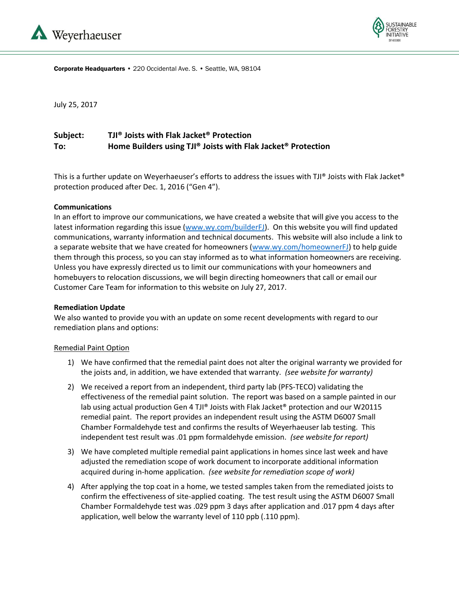



Corporate Headquarters • 220 Occidental Ave. S. • Seattle, WA, 98104

July 25, 2017

# **Subject: TJI® Joists with Flak Jacket® Protection To: Home Builders using TJI® Joists with Flak Jacket® Protection**

This is a further update on Weyerhaeuser's efforts to address the issues with TJI® Joists with Flak Jacket® protection produced after Dec. 1, 2016 ("Gen 4").

### **Communications**

In an effort to improve our communications, we have created a website that will give you access to the latest information regarding this issue [\(www.wy.com/builderFJ\)](http://www.wy.com/builderFJ). On this website you will find updated communications, warranty information and technical documents. This website will also include a link to a separate website that we have created for homeowners [\(www.wy.com/homeownerFJ\)](http://www.wy.com/homeownerFJ) to help guide them through this process, so you can stay informed as to what information homeowners are receiving. Unless you have expressly directed us to limit our communications with your homeowners and homebuyers to relocation discussions, we will begin directing homeowners that call or email our Customer Care Team for information to this website on July 27, 2017.

### **Remediation Update**

We also wanted to provide you with an update on some recent developments with regard to our remediation plans and options:

#### Remedial Paint Option

- 1) We have confirmed that the remedial paint does not alter the original warranty we provided for the joists and, in addition, we have extended that warranty. *(see website for warranty)*
- 2) We received a report from an independent, third party lab (PFS-TECO) validating the effectiveness of the remedial paint solution. The report was based on a sample painted in our lab using actual production Gen 4 TJI® Joists with Flak Jacket® protection and our W20115 remedial paint. The report provides an independent result using the ASTM D6007 Small Chamber Formaldehyde test and confirms the results of Weyerhaeuser lab testing. This independent test result was .01 ppm formaldehyde emission. *(see website for report)*
- 3) We have completed multiple remedial paint applications in homes since last week and have adjusted the remediation scope of work document to incorporate additional information acquired during in-home application. *(see website for remediation scope of work)*
- 4) After applying the top coat in a home, we tested samples taken from the remediated joists to confirm the effectiveness of site-applied coating. The test result using the ASTM D6007 Small Chamber Formaldehyde test was .029 ppm 3 days after application and .017 ppm 4 days after application, well below the warranty level of 110 ppb (.110 ppm).